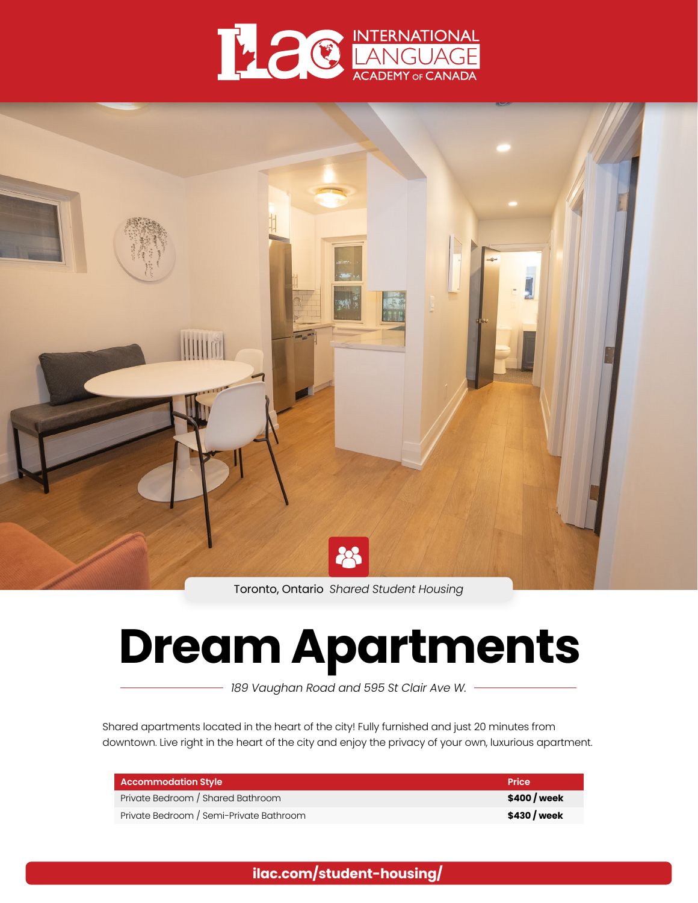



Toronto, Ontario *Shared Student Housing*

# **Dream Apartments**

*189 Vaughan Road and 595 St Clair Ave W.*

Shared apartments located in the heart of the city! Fully furnished and just 20 minutes from downtown. Live right in the heart of the city and enjoy the privacy of your own, luxurious apartment.

| <b>Accommodation Style</b>              | <b>Price</b> |
|-----------------------------------------|--------------|
| Private Bedroom / Shared Bathroom       | \$400 / week |
| Private Bedroom / Semi-Private Bathroom | \$430 / week |